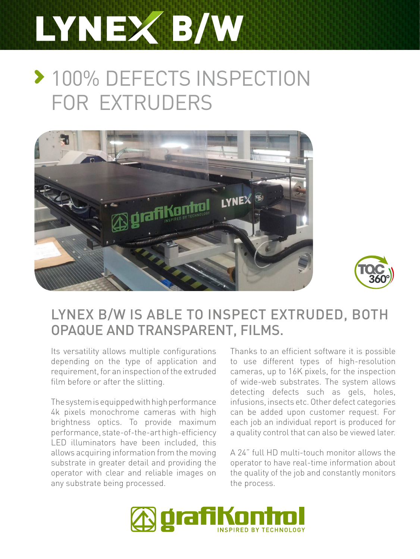# LYNEX B/W

## **> 100% DEFECTS INSPECTION** FOR EXTRUDERS





## LYNEX B/W IS ABLE TO INSPECT EXTRUDED, BOTH OPAQUE AND TRANSPARENT, FILMS.

Its versatility allows multiple configurations depending on the type of application and requirement, for an inspection of the extruded film before or after the slitting.

The system is equipped with high performance 4k pixels monochrome cameras with high brightness optics. To provide maximum performance, state-of-the-art high-efficiency LED illuminators have been included, this allows acquiring information from the moving substrate in greater detail and providing the operator with clear and reliable images on any substrate being processed.

Thanks to an efficient software it is possible to use different types of high-resolution cameras, up to 16K pixels, for the inspection of wide-web substrates. The system allows detecting defects such as gels, holes, infusions, insects etc. Other defect categories can be added upon customer request. For each job an individual report is produced for a quality control that can also be viewed later.

A 24" full HD multi-touch monitor allows the operator to have real-time information about the quality of the job and constantly monitors the process.